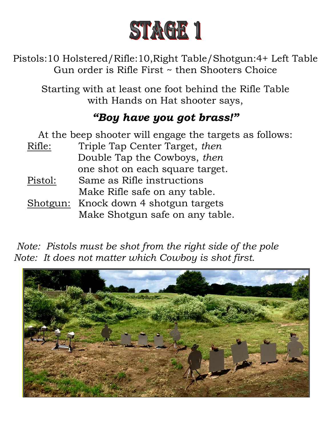

Pistols:10 Holstered/Rifle:10,Right Table/Shotgun:4+ Left Table Gun order is Rifle First ~ then Shooters Choice

Starting with at least one foot behind the Rifle Table with Hands on Hat shooter says,

# *"Boy have you got brass!"*

| At the beep shooter will engage the targets as follows: |                                 |
|---------------------------------------------------------|---------------------------------|
| Rifle:                                                  | Triple Tap Center Target, then  |
|                                                         | Double Tap the Cowboys, then    |
|                                                         | one shot on each square target. |
| Pistol:                                                 | Same as Rifle instructions      |
|                                                         | Make Rifle safe on any table.   |
| Shotgun:                                                | Knock down 4 shotgun targets    |
|                                                         | Make Shotgun safe on any table. |

 *Note: Pistols must be shot from the right side of the pole Note: It does not matter which Cowboy is shot first.*

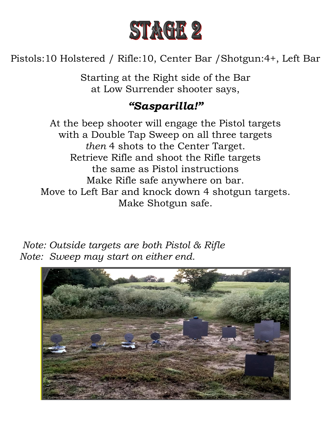

Pistols:10 Holstered / Rifle:10, Center Bar /Shotgun:4+, Left Bar

Starting at the Right side of the Bar at Low Surrender shooter says,

## *"Sasparilla!"*

At the beep shooter will engage the Pistol targets with a Double Tap Sweep on all three targets *then* 4 shots to the Center Target. Retrieve Rifle and shoot the Rifle targets the same as Pistol instructions Make Rifle safe anywhere on bar. Move to Left Bar and knock down 4 shotgun targets. Make Shotgun safe.

 *Note: Outside targets are both Pistol & Rifle Note: Sweep may start on either end.*

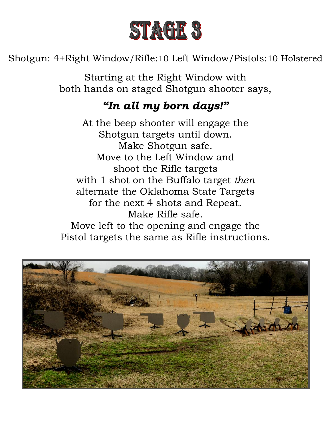

Shotgun: 4+Right Window/Rifle:10 Left Window/Pistols:10 Holstered

Starting at the Right Window with both hands on staged Shotgun shooter says,

#### *"In all my born days!"*

At the beep shooter will engage the Shotgun targets until down. Make Shotgun safe. Move to the Left Window and shoot the Rifle targets with 1 shot on the Buffalo target *then* alternate the Oklahoma State Targets for the next 4 shots and Repeat. Make Rifle safe. Move left to the opening and engage the

Pistol targets the same as Rifle instructions.

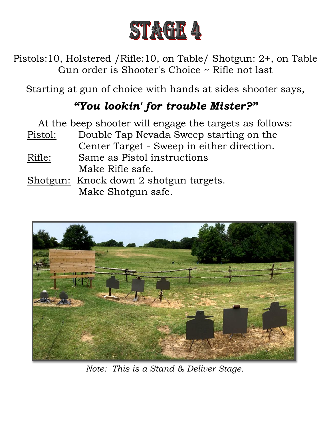

Pistols:10, Holstered /Rifle:10, on Table/ Shotgun: 2+, on Table Gun order is Shooter's Choice ~ Rifle not last

Starting at gun of choice with hands at sides shooter says,

# *"You lookin' for trouble Mister?"*

At the beep shooter will engage the targets as follows: Pistol: Double Tap Nevada Sweep starting on the Center Target - Sweep in either direction. Rifle: Same as Pistol instructions Make Rifle safe. Shotgun: Knock down 2 shotgun targets. Make Shotgun safe.



*Note: This is a Stand & Deliver Stage.*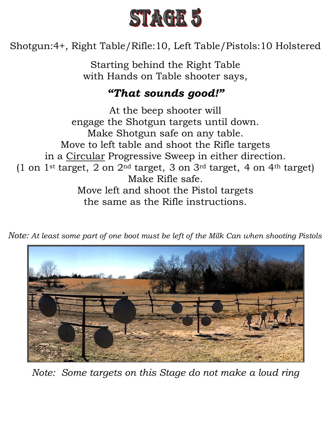

Shotgun:4+, Right Table/Rifle:10, Left Table/Pistols:10 Holstered

Starting behind the Right Table with Hands on Table shooter says,

## *"That sounds good!"*

At the beep shooter will engage the Shotgun targets until down. Make Shotgun safe on any table. Move to left table and shoot the Rifle targets in a Circular Progressive Sweep in either direction. (1 on  $1$ <sup>st</sup> target, 2 on  $2<sup>nd</sup>$  target, 3 on  $3<sup>rd</sup>$  target, 4 on  $4<sup>th</sup>$  target) Make Rifle safe. Move left and shoot the Pistol targets the same as the Rifle instructions.



*Note: At least some part of one boot must be left of the Milk Can when shooting Pistols*

*Note: Some targets on this Stage do not make a loud ring*